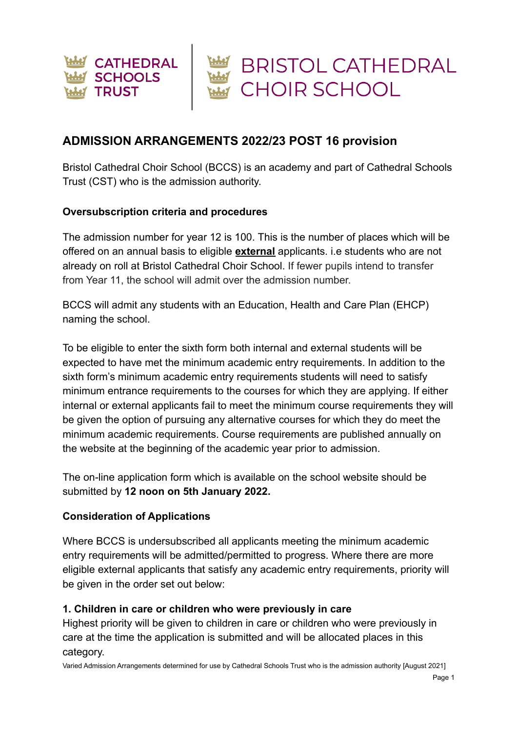

# **ADMISSION ARRANGEMENTS 2022/23 POST 16 provision**

Bristol Cathedral Choir School (BCCS) is an academy and part of Cathedral Schools Trust (CST) who is the admission authority.

#### **Oversubscription criteria and procedures**

The admission number for year 12 is 100. This is the number of places which will be offered on an annual basis to eligible **external** applicants. i.e students who are not already on roll at Bristol Cathedral Choir School. If fewer pupils intend to transfer from Year 11, the school will admit over the admission number.

BCCS will admit any students with an Education, Health and Care Plan (EHCP) naming the school.

To be eligible to enter the sixth form both internal and external students will be expected to have met the minimum academic entry requirements. In addition to the sixth form's minimum academic entry requirements students will need to satisfy minimum entrance requirements to the courses for which they are applying. If either internal or external applicants fail to meet the minimum course requirements they will be given the option of pursuing any alternative courses for which they do meet the minimum academic requirements. Course requirements are published annually on the website at the beginning of the academic year prior to admission.

The on-line application form which is available on the school website should be submitted by **12 noon on 5th January 2022.**

#### **Consideration of Applications**

Where BCCS is undersubscribed all applicants meeting the minimum academic entry requirements will be admitted/permitted to progress. Where there are more eligible external applicants that satisfy any academic entry requirements, priority will be given in the order set out below:

#### **1. Children in care or children who were previously in care**

Highest priority will be given to children in care or children who were previously in care at the time the application is submitted and will be allocated places in this category.

Varied Admission Arrangements determined for use by Cathedral Schools Trust who is the admission authority [August 2021]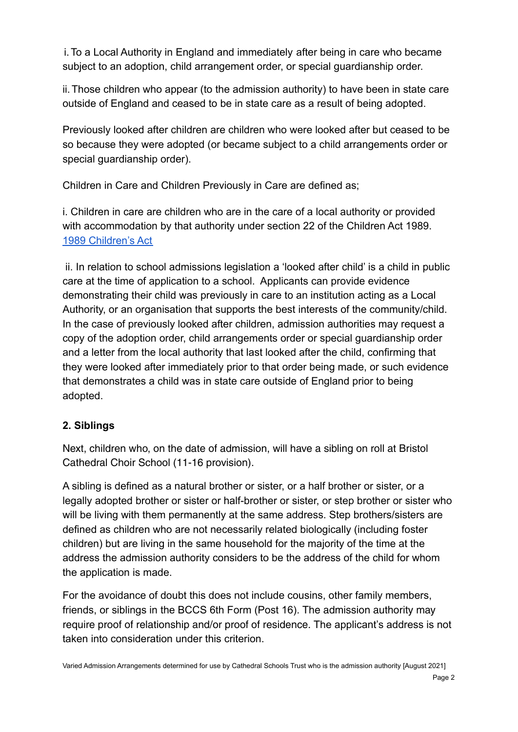i.To a Local Authority in England and immediately after being in care who became subject to an adoption, child arrangement order, or special guardianship order.

ii.Those children who appear (to the admission authority) to have been in state care outside of England and ceased to be in state care as a result of being adopted.

Previously looked after children are children who were looked after but ceased to be so because they were adopted (or became subject to a child arrangements order or special guardianship order).

Children in Care and Children Previously in Care are defined as;

i. Children in care are children who are in the care of a local authority or provided with accommodation by that authority under section 22 of the Children Act 1989. [1989 Children's Act](https://www.legislation.gov.uk/ukpga/1989/41/contents)

ii. In relation to school admissions legislation a 'looked after child' is a child in public care at the time of application to a school. Applicants can provide evidence demonstrating their child was previously in care to an institution acting as a Local Authority, or an organisation that supports the best interests of the community/child. In the case of previously looked after children, admission authorities may request a copy of the adoption order, child arrangements order or special guardianship order and a letter from the local authority that last looked after the child, confirming that they were looked after immediately prior to that order being made, or such evidence that demonstrates a child was in state care outside of England prior to being adopted.

### **2. Siblings**

Next, children who, on the date of admission, will have a sibling on roll at Bristol Cathedral Choir School (11-16 provision).

A sibling is defined as a natural brother or sister, or a half brother or sister, or a legally adopted brother or sister or half-brother or sister, or step brother or sister who will be living with them permanently at the same address. Step brothers/sisters are defined as children who are not necessarily related biologically (including foster children) but are living in the same household for the majority of the time at the address the admission authority considers to be the address of the child for whom the application is made.

For the avoidance of doubt this does not include cousins, other family members, friends, or siblings in the BCCS 6th Form (Post 16). The admission authority may require proof of relationship and/or proof of residence. The applicant's address is not taken into consideration under this criterion.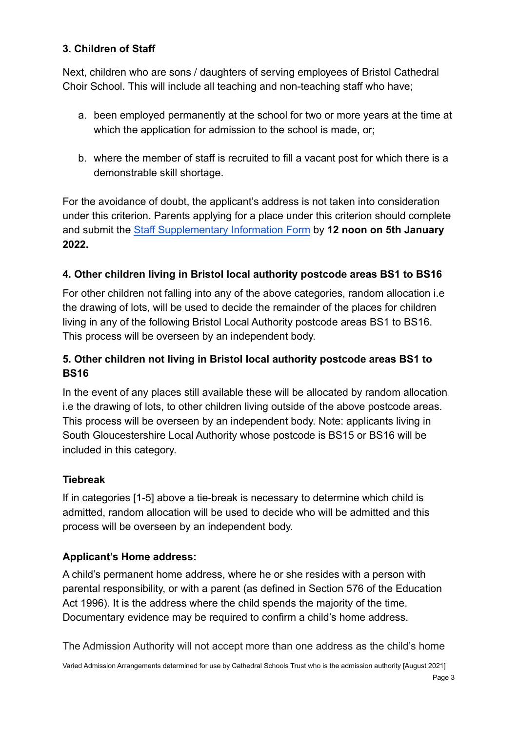### **3. Children of Staff**

Next, children who are sons / daughters of serving employees of Bristol Cathedral Choir School. This will include all teaching and non-teaching staff who have;

- a. been employed permanently at the school for two or more years at the time at which the application for admission to the school is made, or:
- b. where the member of staff is recruited to fill a vacant post for which there is a demonstrable skill shortage.

For the avoidance of doubt, the applicant's address is not taken into consideration under this criterion. Parents applying for a place under this criterion should complete and submit the [Staff Supplementary Information Form](https://drive.google.com/file/d/1FmikYBUNy_LuD7my3XiF6QvuQym00XCD/view?usp=sharing) by **12 noon on 5th January 2022.**

# **4. Other children living in Bristol local authority postcode areas BS1 to BS16**

For other children not falling into any of the above categories, random allocation i.e the drawing of lots, will be used to decide the remainder of the places for children living in any of the following Bristol Local Authority postcode areas BS1 to BS16. This process will be overseen by an independent body.

# **5. Other children not living in Bristol local authority postcode areas BS1 to BS16**

In the event of any places still available these will be allocated by random allocation i.e the drawing of lots, to other children living outside of the above postcode areas. This process will be overseen by an independent body. Note: applicants living in South Gloucestershire Local Authority whose postcode is BS15 or BS16 will be included in this category.

### **Tiebreak**

If in categories [1-5] above a tie-break is necessary to determine which child is admitted, random allocation will be used to decide who will be admitted and this process will be overseen by an independent body.

### **Applicant's Home address:**

A child's permanent home address, where he or she resides with a person with parental responsibility, or with a parent (as defined in Section 576 of the Education Act 1996). It is the address where the child spends the majority of the time. Documentary evidence may be required to confirm a child's home address.

The Admission Authority will not accept more than one address as the child's home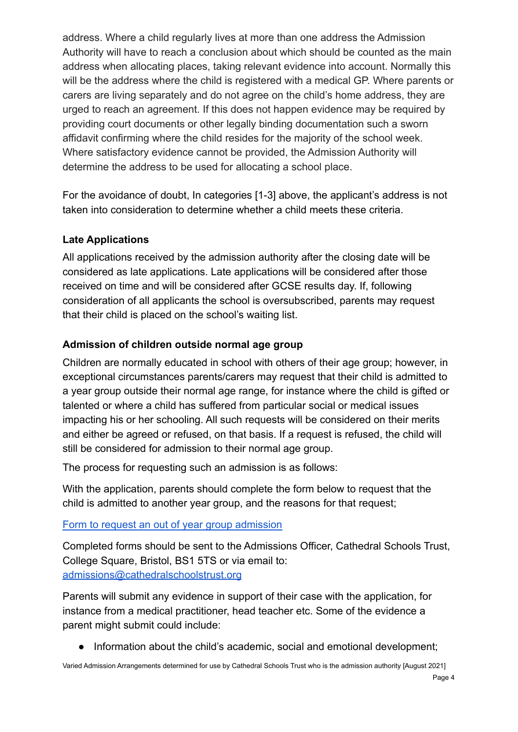address. Where a child regularly lives at more than one address the Admission Authority will have to reach a conclusion about which should be counted as the main address when allocating places, taking relevant evidence into account. Normally this will be the address where the child is registered with a medical GP. Where parents or carers are living separately and do not agree on the child's home address, they are urged to reach an agreement. If this does not happen evidence may be required by providing court documents or other legally binding documentation such a sworn affidavit confirming where the child resides for the majority of the school week. Where satisfactory evidence cannot be provided, the Admission Authority will determine the address to be used for allocating a school place.

For the avoidance of doubt, In categories [1-3] above, the applicant's address is not taken into consideration to determine whether a child meets these criteria.

#### **Late Applications**

All applications received by the admission authority after the closing date will be considered as late applications. Late applications will be considered after those received on time and will be considered after GCSE results day. If, following consideration of all applicants the school is oversubscribed, parents may request that their child is placed on the school's waiting list.

### **Admission of children outside normal age group**

Children are normally educated in school with others of their age group; however, in exceptional circumstances parents/carers may request that their child is admitted to a year group outside their normal age range, for instance where the child is gifted or talented or where a child has suffered from particular social or medical issues impacting his or her schooling. All such requests will be considered on their merits and either be agreed or refused, on that basis. If a request is refused, the child will still be considered for admission to their normal age group.

The process for requesting such an admission is as follows:

With the application, parents should complete the form below to request that the child is admitted to another year group, and the reasons for that request;

#### [Form to request an out of year group admission](https://drive.google.com/file/d/1XG5yIQIxQ2gJfW8uT_SSn5z44U8Gx5fq/view?usp=sharing)

Completed forms should be sent to the Admissions Officer, Cathedral Schools Trust, College Square, Bristol, BS1 5TS or via email to: [admissions@cathedralschoolstrust.org](mailto:admissions@cathedralschoolstrust.org)

Parents will submit any evidence in support of their case with the application, for instance from a medical practitioner, head teacher etc. Some of the evidence a parent might submit could include:

● Information about the child's academic, social and emotional development;